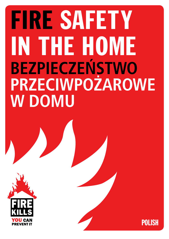# FIRE SAFETY IN THE HOME **BEZPIECZEŃSTWO PRZECIWPOŻAROWE W DOMU**



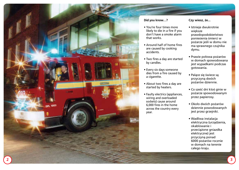

#### **Did you know…?**

- You're four times more likely to die in a fire if you don't have a smoke alarm that works.
- Around half of home fires are caused by cooking accidents.
- Two fires a day are started by candles.
- Every six days someone dies from a fire caused by a cigarette.
- About two fires a day are started by heaters.
- Faulty electrics (appliances, wiring and overloaded sockets) cause around 6,000 fires in the home across the country every year.

#### **Czy wiesz, że...**

- Istnieje dwukrotnie większe prawdopodobieństwo poniesienia śmierci w pożarze jeśli w domu nie ma sprawnego czujnika dymu.
- Prawie połowa pożarów w domach spowodowana jest wypadkami podczas gotowania.
- Palące się świece są przyczyną dwóch pożarów dziennie.
- Co sześć dni ktoś ginie w pożarze spowodowanym przez papierosy.
- Około dwóch pożarów dziennie powodowanych jest przez grzejniki.
- Wadliwa instalacja elektryczna (urządzenia, okablowanie i przeciążone gniazdka elektryczne) jest przyczyną ponad 6000 pożarów rocznie w domach na terenie całego kraju.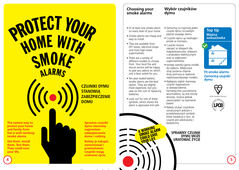# **PROTECT YOUR** HOME WITH SMOKE **ALARMS**

**The easiest way to protect your home and family from fire is with working smoke alarms.**

**Get them. Install them. Test them. They could save your life.**



**CZUJNIKI DYMU STANOWIĄ ZABEZPIECZENIE DOMU**

> **Sprawne czujniki dymu stanowią najprostsze zabezpieczenie domu i rodziny.**

**Należy je zakupić, zamontować i przetestować. Czujniki mogą uratować życie.**

#### **Choosing your smoke alarms**

- Fit at least one smoke alarm on every level of your home.
- Smoke alarms are cheap and easy to install.
- They are available from DIY stores, electrical shops and most high street supermarkets.
- There are a variety of different models to choose from. Your local fire and rescue service will be happy to give you advice on which one is best suited for you.
- Ten-year sealed battery smoke alarms are the best option. They are slightly more expensive, but you save on the cost of replacing batteries.
- Look out for one of these symbols, which shows the alarm is approved and safe.

**A WORKING** A WORKING<br>SMOKE ALARM SMONE SAVE YOUR LIFE

• Zamontuj co najmniej jeden czujnik dymu na każdym piętrze swojego domu.

**Wybór czujników** 

**dymu**

- Czujniki dymu są niedrogie i proste w montażu.
- Czujniki można zakupić w sklepach dla majsterkowiczów, sklepach z artykułami elektrycznymi oraz w większości supermarketów.
- Istnieje szeroka gama modeli do wyboru. Miejscowa straż pożarna chętnie służy pomocą w wyborze najstosowniejszego modelu.
- Najlepszy wybór stanowią czujniki wyposażone w dziesięcioletnie, hermetycznie uszczelnione akumulatory. Są one trochę droższe, można jednak zaoszczędzić na wymianie baterii.
- Należy szukać czujników oznaczonych jednym z przedstawionych symboli, które świadczą o tym, że czujnik jest atestowany i bezpieczny.

**SPRAWNY CZUJNIK DYMU MOŻE URATOWAĆ ŻYCIE**

#### **Top tip Ważna wskazówka**



#### **Fit smoke alarms Zamontuj czujniki dymu**



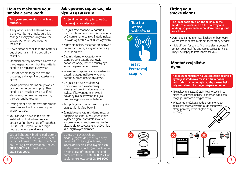#### **How to make sure your smoke alarms work**

#### **Test your smoke alarms at least monthly.**

- If any of your smoke alarms have a one year battery, make sure it is changed every year. Only take the battery out when you need to replace it.
- Never disconnect or take the batteries out of your alarm if it goes off by mistake.
- Standard battery operated alarms are the cheapest option, but the batteries need to be replaced every year.
- A lot of people forget to test the batteries, so longer life batteries are better.
- Mains-powered alarms are powered by your home power supply. They need to be installed by a qualified electrician, but like battery alarms, they do require testing.
- Testing smoke alarms tests the smoke sensor as well as the power supply and/or battery.
- You can even have linked alarms installed, so that when one alarm detects a fire they all go off together. This is useful if you live in a large house or over several levels.

 Strobe light and vibrating-pad alarms are available for those who are deaf or hard of hearing. Contact the Action on Hearing Loss Information Line on **0808 808 0123** or textphone **0808 808 9000**.

#### **Jak upewnić się, że czujniki dymu są sprawne**

#### **Czujniki dymu należy testować co najmniej raz w miesiącu.**

- Czujniki wyposażone w baterie z rocznym terminem ważności powinny być wymieniane co rok. Baterie należy usuwać wyłącznie w celu ich wymiany.
- Nigdy nie należy rozłączać ani usuwać baterii z czujnika, który uruchomi się przez przypadek.
- Czujniki dymu wyposażone w standardowe baterie stanowią najtańszą opcję, baterie muszą być jednak wymieniane co roku.
- Wiele osób zapomina o sprawdzeniu baterii, dlatego najlepiej wybierać baterie o przedłużonej trwałości.
- Czujniki sieciowe zasilane są z domowej sieci elektrycznej. Muszą być one instalowane przez wykwalifikowanego elektryka i powinny być testowane tak, jak czujniki wyposażone w baterie.
- Test polega na sprawdzeniu czujnika oraz zasilania i/lub baterii.
- Zainstalowane czujniki dymu można połączyć ze sobą. Kiedy jeden z nich wykryje ogień, pozostałe również zostaną wtedy uruchomione. Może okazać się to użyteczne w dużych lub kilkupiętrowych domach.

#### Dla osób niesłyszących lub

niedosłyszących dostępne są alarmy świetlne lub wibracyjne. Należy skontaktować się z infolinią dla osób z zaburzeniami słuchu (ang. Action on Hearing Loss Information Line) pod numerem telefonu **0808 808 0123** lub

# **Top tip Ważna wskazówka**



**Test it Przetestuj czujnik**

#### **Fitting your smoke alarms**

**The ideal position is on the ceiling, in the middle of a room, and on the hallway and landing, so you can hear an alarm throughout your home.**

- Don't put alarms in or near kitchens or bathrooms where smoke or steam can set them off by accident.
- If it is difficult for you to fit smoke alarms yourself contact your local fire and rescue service for help. They'll be happy to install them for you.

#### **Montaż czujników dymu**

**Najlepszym miejscem na umieszczenie czujnika dymu jest środkowa część sufitu w pokoju, na korytarzu i na półpiętrze, aby można było usłyszeć alarm z każdego miejsca w domu.**

- Nie należy umieszczać czujników w kuchni i w łazience, ani w ich pobliżu, ponieważ dym i para mogą je uruchomić przypadkowo.
- W razie trudności z samodzielnym montażem czujników można zwrócić się do miejscowej straży pożarnej, która chętnie służy pomocą.



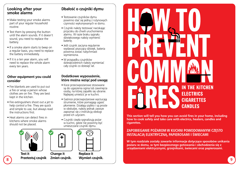#### **Looking after your smoke alarms**

- Make testing your smoke alarms part of your regular household routine.
- Test them by pressing the button until the alarm sounds. If it doesn't sound, you need to replace the battery.
- If a smoke alarm starts to beep on a regular basis, you need to replace the battery immediately.
- If it is a ten year alarm, you will need to replace the whole alarm every ten years.

#### **Other equipment you could consider**

- Fire blankets are used to put out a fire or wrap a person whose clothes are on fire. They are best kept in the kitchen.
- Fire extinguishers shoot out a jet to help control a fire. They are quick and simple to use, but always read the instructions first.
- Heat alarms can detect fires in kitchens where smoke alarms should not be placed.



**Test it Change it Replace it**



8 **1 Przecistuj czujnik Emien czujnik. Wymien czujnik. Moderni przecistany przecistalnym przecistamy organizmu przecista (1998) a przecista (1998) a przecista (1998) a przecista (1998) a przecista (1998) a przecista (199 Przetestuj czujnik Zmień czujnik. Wymień czujnik.**

# **Dbałość o czujniki dymu**

- Testowanie czujników dymu powinno stać się jedną z rutynowych czynności wykonywanych w domu.
- Czujniki należy testować naciskając przycisku do chwili uruchomienia alarmu. W razie braku sygnału dźwiękowego należy wymienić baterię.
- Jeśli czujnik zaczyna regularnie wydawać piszczący dźwięk, bateria powinna zostać natychmiast wymieniona.
- W przypadku czujników dziesięcioletnich należy wymieniać cały czujnik co dziesięć lat.

#### **Dodatkowe wyposażenie, które można wziąć pod uwagę**

- Koce przeciwpożarowe stosowane są do ugaszenia ognia lub zawinięcia osoby, na której zapaliło się ubranie. Najlepiej umieścić je w kuchni.
- Gaśnice przeciwpożarowe wyrzucają strumienie, które pomagają ugasić płomienie. Działają szybko i są proste w obsłudze, należy jednak zawsze zapoznać się z instrukcją obsługi przed ich użyciem.
- Czujniki ciepła sygnalizują pożar w kuchni, gdzie nie powinny być umieszczane czujniki dymu.





**This section will tell you how you can avoid fires in your home, including how to cook safely and take care with electrics, heaters, candles and cigarettes.**

#### **ZAPOBIEGANIE POŻAROM W KUCHNI POWODOWANYM CZĘSTO INSTALACJĄ ELEKTRYCZNĄ, PAPIEROSAMI I ŚWIECAMI**

**W tym rozdziale zostały zawarte informacje dotyczące sposobów unikania pożaru w domu, w tym bezpiecznego gotowania i obchodzenia się z urządzeniami elektrycznymi, grzejnikami, świecami oraz papierosami.**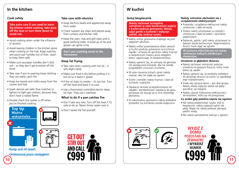# **In the kitchen**

#### **Cook safely**

 **Take extra care if you need to leave the kitchen whilst cooking, take pans off the heat or turn them down to avoid risk.**

- Avoid cooking when under the influence of alcohol.
- Avoid leaving children in the kitchen alone when cooking on the hob. Keep matches and sauce pan handles out of their reach to keep them safe.
- Make sure saucepan handles don't stick out – so they don't get knocked off the stove.
- Take care if you're wearing loose clothing they can easily catch fire.
- Keep tea towels and cloths away from the cooker and hob.
- Spark devices are safer than matches or lighters to light gas cookers, because they don't have a naked flame.
- Double check the cooker is off when you've finished cooking



**Keep out of reach Umieszczaj poza zasięgiem**

#### **Take care with electrics**

- Keep electrics (leads and appliances) away from water.
- Check toasters are clean and placed away from curtains and kitchen rolls.
- Keep the oven, hob and grill clean and in good working order. A build up of fat and grease can ignite a fire.

 **Don't put anything metal in the microwave**

#### **Deep fat frying**

- Take care when cooking with hot oil it sets alight easily.
- Make sure food is dry before putting it in hot oil so it doesn't splash.
- $\bullet$  If the oil starts to smoke it's too hot. Turn off the heat and leave it to cool.
- Use a thermostat controlled electric deep fat fryer. They can't overheat.

#### **What to do if a pan catches fire**

- Don't take any risks. Turn off the heat if it's safe to do so. Never throw water over it.
- Don't tackle the fire yourself.

# **W kuchni**

#### **Gotuj bezpiecznie**

 **Należy zachować szczególną ostrożność w razie konieczności wyjścia z kuchni podczas gotowania. Należy zdjąć garnki z kuchenki i wyłączyć palniki, aby uniknąć ryzyka.**

- Należy unikać gotowania znajdując się pod wpływem alkoholu.
- Należy unikać pozostawiania dzieci samych w kuchni podczas gotowania na kuchence. Zapałki i uchwyty do garnków należy trzymać w bezpiecznym miejscu poza zasięgiem dzieci, zapewniając im bezpieczeństwo.
- Należy upewnić się, że uchwyty od garnków nie wystają poza krawędź, aby nie zostały przypadkiem zrzucone z kuchenki.
- W razie noszenia luźnych ubrań należy uważać, aby nie zajęły się ogniem.
- Ścierki i serwetki należy trzymać z dala od kuchenki i palników.
- Zapalacze iskrowe są bezpieczniejsze od zapałek i standardowych zapalaczy do gazu, ponieważ nie stosuje się w nich otwartego płomienia.
- Po zakończeniu gotowania należy dokładnie sprawdzić czy kuchenka została wyłączona.

#### **Należy ostrożnie obchodzić się z urządzeniami elektrycznymi**

- Przewody i urządzenia elektryczne należy umieszczać z dala od wody.
- Tostery należy utrzymywać w czystości i umieszczać z dala od zasłon i ręczników papierowych.
- Piekarnik, palniki i grill należy utrzymywać w dobrym stanie technicznym. Nagromadzony tłuszcz może zająć się ogniem.

 **W kuchence mikrofalowej nie należy umieszczać żadnych metalowych elementów.**

#### **Smażenie w głębokim tłuszczu**

- Należy zachować ostrożność podczas smażenia na gorącym tłuszczu, który może łatwo się zapalić.
- Należy upewnić się, że produkty wkładane do gorącego tłuszczu są suche, co zapobiega jego rozpryskiwaniu.
- Kiedy olej zaczyna dymić jest zbyt gorący. Należy wtedy wyłączyć palnik lub płytę i poczekać, aż ostygnie.
- Należy używać frytkownicy elektrycznej z termostatem, która się nie przegrzewa.

#### **Co zrobić gdy patelnia zajmie się ogniem**

- Nie należy podejmować ryzyka. Jeśli to bezpieczne, należy wyłączyć palnik lub płytę. Nigdy nie należy polewać płonącej patelni wodą.
- Nie należy samodzielnie walczyć z ogniem.





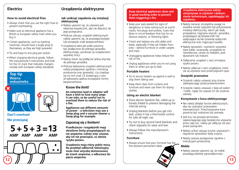### **Electrics**

#### **How to avoid electrical fires**

- Always check that you use the right fuse to prevent overheating.
- Make sure an electrical appliance has a British or European safety mark when you buy it.
- Certain appliances, such as washing machines, should have a single plug to themselves, as they are high powered.
- Try and keep to one plug per socket.
- When charging electrical goods, follow the manufacturer's instructions and look for the CE mark that indicates chargers comply with European safety standards.

**Top tip wskazówka Top tip Ważna** 



# **Don't overload**





# **Urządzenia elektryczne**

#### **Jak uniknąć zapalenia się instalacji elektrycznej**

- Należy upewnić się, że używany jest właściwy bezpiecznik, aby nie dopuścić do jego przegrzania.
- Podczas zakupu urządzeń elektrycznych należy upewnić się, że posiadają brytyjski lub europejski znak bezpieczeństwa.
- Urządzenia takie jak pralki powinny być podłączone do jednego gniazdka elektrycznego, ponieważ są urządzeniami wysokiej mocy.
- Należy starać się podłączać jedną wtyczkę do jednego gniazdka.
- Podczas ładowania urządzeń elektrycznych należy postępować zgodnie z instrukcją producenta oraz sprawdzić, czy znajduje się na nich znak CE świadczący o tym, że ładowarka spełnia europejskie normy bezpieczeństwa.

### **Know the limit!**

**An extension lead or adaptor will have a limit to how many amps it can take, so be careful not to overload them to reduce the risk of a fire.** 

**Appliances use different amounts of power – a television may use a 3amp plug and a vacuum cleaner a 5amp plug for example.**

# **Nie przeciążaj Zapoznaj się z limitem!**

**Przedłużacze i rozgałęźniki mają określone limity przypadających na nie amperów, należy więc uważać, aby ich nie przeciążać, co obniża ryzyko pożaru.** 

**Urządzenia mają różny pobór mocy. Na przykład odbiornik telewizyjny może mieć wtyczkę dostosowaną do trzech amperów, a odkurzacz do pięciu amperów.**

#### **Keep electrical appliances clean and in good working order to prevent them triggering a fire.**

- Keep your eyes peeled for signs of dangerous or loose wiring such as scorch marks, hot plugs and sockets, fuses that blow or circuit-breakers that trip for no obvious reasons, or flickering lights.
- Check and replace any old cables and leads, especially if they are hidden from view – behind furniture or under carpets and mats.
- Unplugging appliances helps reduce the risk of fire.
- Unplug appliances when you're not using them or when you go to bed.

#### **Portable heaters**

- Try to secure heaters up against a wall to stop them falling over.
- Keep them clear from curtains and furniture and never use them for drying clothes.

#### **Using an electric blanket**

- Store electric blankets flat, rolled up or loosely folded to prevent damaging the internal wiring.
- Unplug blankets before you get into bed, unless it has a thermostat control for safe all-night use.
- Try not to buy second hand blankets and check regularly for wear and tear.
- Always follow the manufacturer's instructions.

#### **Furniture**

• Always ensure that your furniture has the fire-resistant permanent label.



- Należy zwracać szczególną uwagę na wszelkie oznaki zagrożeń lub poluzowanej instalacji elektrycznej, takich jak ślady przepalenia, nagrzane wtyczki i gniazdka, przepalające się bezpieczniki lub wyłączające się bez powody wyłączniki elektryczne oraz migoczące światła.
- Należy sprawdzić i wymienić wszystkie stare kable i przewody, szczególnie te niewidoczne, ukryte za meblami, pod dywanami lub matami.
- Odłączenie urządzeń z sieci zmniejsza ryzyko pożaru.
- Należy odłączać z sieci urządzenia, które nie są używane oraz przed pójściem spać.

#### **Grzejniki przenośne**

- Grzejniki należy ustawiać przy ścianie zabezpieczając przed przewróceniem.
- Grzejniki należy ustawiać z dala od zasłon i mebli, nigdy nie używać ich do suszenia odzieży.

#### **Korzystanie z koca elektrycznego**

- Nie należy składać koców elektrycznych, aby nie uszkodzić przewodów wewnętrznych. Przechowywane koce powinny być rozłożone lub zwinięte.
- Jeśli koc nie posiada termostatu zapewniającego jego bezpieczne używanie przez całą noc, należy go odłączyć od sieci przed zaśnięciem.
- Należy unikać zakupu koców używanych i regularnie sprawdzać ślady zużycia.
- Należy zawsze postępować zgodnie z instrukcjami producenta.

#### **Meble**

• Należy zawsze upewnić się, że meble posiadają etykietę ognioodporności.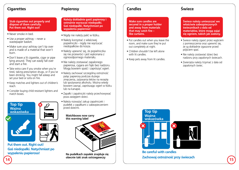#### **Cigarettes**

#### **Stub cigarettes out properly and dispose of them carefully. Put them out. Right out!**

- Never smoke in bed.
- Use a proper ashtray never a wastepaper basket.
- Make sure your ashtray can't tip over and is made of a material that won't burn.
- Don't leave a lit cigarette, cigar or pipe lying around. They can easily fall over and start a fire.
- Take extra care if you smoke when you're tired, taking prescription drugs, or if you've been drinking. You might fall asleep and set your bed or sofa on fire.
- Keep matches and lighters out of children's reach.
- Consider buying child resistant lighters and match boxes.



**Put them out. Right out! Gaś niedopałki. Natychmiast po wypaleniu papierosa!**

# **Papierosy**

 **Należy dokładnie gasić papierosy i ostrożnie wyrzucać niedopałki. Gaś niedopałki. Natychmiast po wypaleniu papierosa!**

- Nigdy nie należy palić w łóżku.
- Należy korzystać z właściwej popielniczki - nigdy nie wyrzucać niedopałków do kosza.
- Należy upewnić się, że popielniczka się nie przewróci i jest wykonana z ognioodpornego materiału.
- Nie należy zostawiać zapalonego papierosa, cygara ani fajki bez nadzoru. Mogą bowiem spaść i zaprószyć ogień.
- Należy zachować szczególną ostrożność paląc papierosy podczas dużego zmęczenia, zażywania leków na receptę lub spożywania alkoholu. Można wtedy bowiem zasnąć, zaprószając ogień w łóżku lub na kanapie.
- Zapałki i zapalniczki należy przechowywać poza zasięgiem dzieci.
- Należy rozważyć zakup zapalniczek i pudełek z zapałkami z zabezpieczeniem przed dziećmi.





**Na pudełkach zapałek znajduje się obecnie taki znak ostrzegawczy**

# **Candles**

 **Make sure candles are secured in a proper holder and away from materials that may catch fire – like curtains.**

- Put candles out when you leave the room, and make sure they're put out completely at night.
- Children shouldn't be left alone with lit candles.
- Keep pets away from lit candles.

### **Świece**

 **Świece należy umieszczać we właściwie zabezpieczonych świecznikach z dala od materiałów, które mogą zająć się ogniem, takich jak zasłony.**

- Świece należy zgasić przez wyjściem z pomieszczenia oraz upewnić się, że są dokładnie zgaszone przed pójściem spać.
- Nie należy zostawiać dzieci bez nadzoru przy zapalonych świecach.
- Zwierzęta należy trzymać z dala od zapalonych świec.



**Be careful with candles 14 15 Zachowaj ostrożność przy świecach**

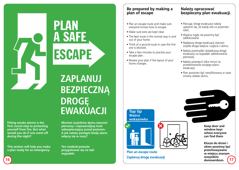**Fitting smoke alarms is the first crucial step to protecting yourself from fire. But what would you do if one went off during the night?**

**This section will help you make a plan ready for an emergency.**

# **ZAPLANUJ BEZPIECZNĄ DROGĘ EWAKUACJI**

ESCAPE

A SAFE

PLAN

**Montaż czujników dymu stanowi pierwszy i najważniejszy krok zabezpieczający przed pożarem. A jak należy postąpić kiedy alarm włączy się w nocy?**

**Ten rozdział pomoże przygotować się na taki wypadek.**

#### **Be prepared by making a plan of escape**

- Plan an escape route and make sure everyone knows how to escape.
- Make sure exits are kept clear.
- The best route is the normal way in and out of your home.
- Think of a second route in case the first one is blocked.
- Take a few minutes to practise your escape plan.
- Review your plan if the layout of your home changes.

#### **Należy opracować bezpieczny plan ewakuacji.**

- Planując drogę ewakuacji należy upewnić się, że każdy wie co powinien robić.
- Wyjścia nigdy nie powinny być zablokowane.
- Najlepszą drogę ewakuacji stanowi zwykła droga wejścia i wyjścia z domu.
- Należy przemyśleć dodatkową drogę ewakuacji na wypadek zablokowania pierwszej.
- Należy poświęcić kilka minut na przetestowanie swojego planu ewakuacji.
- Plan powinien być weryfikowany w razie zmiany układu domu.

#### **Ważna wskazówka**

**Top tip**





**Plan an escape route Zaplanuj drogę ewakuacji** **Keep door and window keys where everyone can find them**

**16 17 Klucze do drzwi i okien powinny być przechowywane w miejscu znanym wszystkim domownikom.**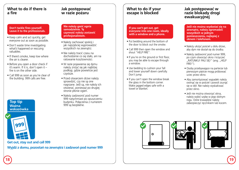#### **What to do if there is a fire**

#### **Don't tackle fires yourself. Leave it to the professionals.**

- Keep calm and act quickly, get everyone out as soon as possible.
- Don't waste time investigating what's happened or rescuing valuables.
- If there's smoke, keep low where the air is clearer.
- Before you open a door check if it's warm. If it is, don't open it – fire is on the other side.
- Call 999 as soon as you're clear of the building. 999 calls are free.

**Top tip Ważna wskazówka**



**Get out, stay out and call 999 Wyjdź z domu, pozostań na zewnątrz i zadzwoń pod numer 999**

#### **Jak postępować w razie pożaru**

#### **Nie należy gasić ognia samodzielnie. Tę czynność należy zostawić profesjonalistom.**

- Należy zachować spokój i jak najszybciej wyprowadzić wszystkich na zewnątrz.
- Nie należy tracić czasu na dochodzenie co się stało, ani na ratowanie kosztowności.
- W razie pojawienia się dymu należy zniżyć się jak najbliżej podłogi, gdzie powietrze jest czystsze.
- Przed otwarciem drzwi należy sprawdzić, czy nie są one nagrzane. Jeśli są, nie należy ich otwierać, ponieważ po drugiej stronie płonie ogień.
- Należy zadzwonić pod numer 999 natychmiast po opuszczeniu budynku. Połączenia z numerem 999 są bezpłatne.

#### **What to do if your escape is blocked**

#### **If you can't get out, get everyone into one room, ideally with a window and a phone.**

- Put bedding around the bottom of the door to block out the smoke.
- Call 999 then open the window and shout "HELP FIRE".
- If you're on the ground or first floor, you may be able to escape through a window.
- Use bedding to cushion your fall and lower yourself down carefully. Don't jump.
- If you can't open the window break the glass in the bottom corner. Make jagged edges safe with a towel or blanket.

#### **Jak postępować w razie blokady drogi ewakuacyjnej**

**Jeśli nie można wydostać się na zewnątrz, należy zgromadzić wszystkich w jednym pomieszczeniu, najlepiej z oknem i telefonem.**

- Należy ułożyć pościel u dołu drzwi, aby dym nie dostał się do środka.
- Należy zadzwonić pod numer 999, po czym otworzyć okno i krzyczeć "RATUNKU! PALI SIĘ!" (ang. "HELP FIRE!'').
- Osoby przebywające na parterze lub pierwszym piętrze mogą próbować uciec przez okno.
- Aby zamortyzować wypadek należy owinąć się w pościel i powoli zsunąć się w dół. Nie należy wyskakiwać przez okno.
- Jeśli nie można otworzyć okna, należy wybić szybę w jego dolnym rogu. Ostre krawędzie należy zabezpieczyć recznikiem lub kocem.





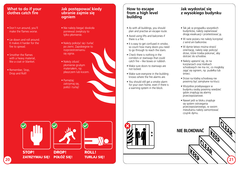#### **What to do if your clothes catch fire**

- Don't run around, you'll make the flames worse.
- Lie down and roll around. It makes it harder for the fire to spread.
- Smother the flames with a heavy material, like a coat or blanket.
- Remember, Stop, Drop and Roll!

#### **Jak postępować kiedy ubranie zajmie się ogniem**

- Nie należy biegać dookoła ponieważ zwiększy to tylko płomienie.
- Należy położyć się i turlać po ziemi. Zapobiegnie to rozprzestrzenianiu się ognia.
- Należy zdusić płomienie grubym materiałem, np. płaszczem lub kocem.
- Pamiętaj: zatrzymaj się, połóż i turlaj!

#### **How to escape from a high level building**

- As with all buildings, you should plan and practise an escape route.
- Avoid using lifts and balconies if there is a fire.
- It is easy to get confused in smoke. so count how many doors you need to go through to reach the stairs.
- Check there is nothing in the corridors or stairways that could catch fire – like boxes or rubbish.
- Make sure doors to stairways are not locked.
- Make sure everyone in the building knows where the fire alarms are.
- You should still get a smoke alarm for your own home, even if there is a warning system in the block.

#### **Jak wydostać się z wysokiego budynku**

- Tak jak w przypadku wszystkich budynków, należy zaplanować drogę ewakuacji i przetestować ją.
- W razie pożaru nie należy korzystać z wind ani balkonów.
- W dymie łatwo można stracić orientację, należy więc policzyć drzwi, które trzeba pokonać, aby dotrzeć do schodów.
- Należy upewnić się, że na korytarzach oraz klatkach schodowych nie ma nic, co mogłoby zająć się ogniem, np. pudełka lub śmieci.
- Drzwi na klatkę schodową nie powinny być zamykane na klucz.
- Wszystkie przebywające w budynku osoby powinny wiedzieć gdzie znajdują się alarmy przeciwpożarowe.
- Nawet jeśli w bloku znajduje się system ostrzegania przeciwpożarowego, w swoim mieszkaniu należy zamontować czujnik dymu.





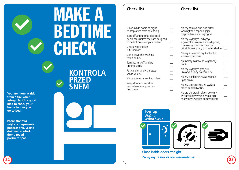# **MAKE A** BEDTIME **CHECK**

**You are more at risk from a fire when asleep. So it's a good idea to check your home before you go to bed.**

**Pożar stanowi większe zagrożenie podczas snu. Warto dokonać kontroli domu przed pójściem spać.**

# **KONTROLA PRZED SNEM**

Close inside doors at night to stop a fire from spreading.

Turn off and unplug electrical appliances unless they are designed to be left on – like your freezer.  $\Box$ 

Check your cooker is turned off.

Don't leave the washing machine on.

Turn heaters off and put up fireguards.

Put candles and cigarettes out properly.

Make sure exits are kept clear.

Keep door and window keys where everyone can find them.

| Należy zamykać na noc drzwi<br>wewnętrzne zapobiegając<br>rozprzestrzenianiu się ognia.                                                 |  |
|-----------------------------------------------------------------------------------------------------------------------------------------|--|
| Należy wyłączyć i odłączyć<br>z gniazdka urządzenia elektryczne,<br>o ile nie są przeznaczone do<br>całodobowej pracy (np. zamrażarka). |  |
| Należy sprawdzić czy kuchenka<br>została wyłączona.                                                                                     |  |
| Nie należy zostawiać włączonej<br>pralki.                                                                                               |  |
| Należy wyłączyć grzejniki<br>i założyć osłony na kominek.                                                                               |  |
| Należy dokładnie zgasić świece<br>i papierosy.                                                                                          |  |
| Należy upewnić się, że wyjścia<br>nie są zablokowane.                                                                                   |  |
| Klucze do drzwi i okien powinny<br>być przechowywane w miejscu<br>znanym wszystkim domownikom.                                          |  |

**Check list**

 $\Box$ 

 $\Box$ 







**Close inside doors at night 22 23 Zamykaj na noc drzwi wewnętrzne**